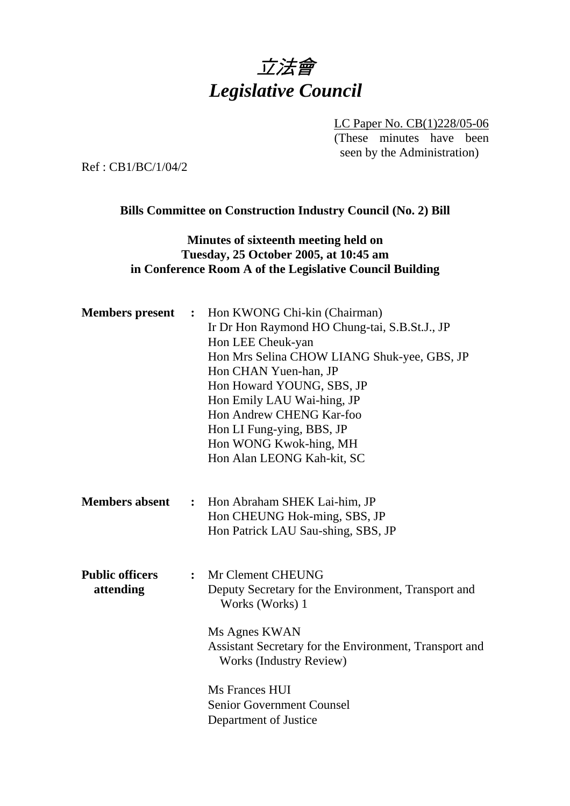# 立法會 *Legislative Council*

LC Paper No. CB(1)228/05-06 (These minutes have been seen by the Administration)

Ref : CB1/BC/1/04/2

#### **Bills Committee on Construction Industry Council (No. 2) Bill**

# **Minutes of sixteenth meeting held on Tuesday, 25 October 2005, at 10:45 am in Conference Room A of the Legislative Council Building**

| <b>Members</b> present              | $\ddot{\cdot}$ | Hon KWONG Chi-kin (Chairman)<br>Ir Dr Hon Raymond HO Chung-tai, S.B.St.J., JP<br>Hon LEE Cheuk-yan<br>Hon Mrs Selina CHOW LIANG Shuk-yee, GBS, JP<br>Hon CHAN Yuen-han, JP<br>Hon Howard YOUNG, SBS, JP<br>Hon Emily LAU Wai-hing, JP<br>Hon Andrew CHENG Kar-foo<br>Hon LI Fung-ying, BBS, JP<br>Hon WONG Kwok-hing, MH<br>Hon Alan LEONG Kah-kit, SC |
|-------------------------------------|----------------|--------------------------------------------------------------------------------------------------------------------------------------------------------------------------------------------------------------------------------------------------------------------------------------------------------------------------------------------------------|
| <b>Members absent</b>               |                | : Hon Abraham SHEK Lai-him, JP<br>Hon CHEUNG Hok-ming, SBS, JP<br>Hon Patrick LAU Sau-shing, SBS, JP                                                                                                                                                                                                                                                   |
| <b>Public officers</b><br>attending | $\ddot{\cdot}$ | Mr Clement CHEUNG<br>Deputy Secretary for the Environment, Transport and<br>Works (Works) 1<br>Ms Agnes KWAN<br>Assistant Secretary for the Environment, Transport and<br><b>Works (Industry Review)</b><br>Ms Frances HUI<br><b>Senior Government Counsel</b><br>Department of Justice                                                                |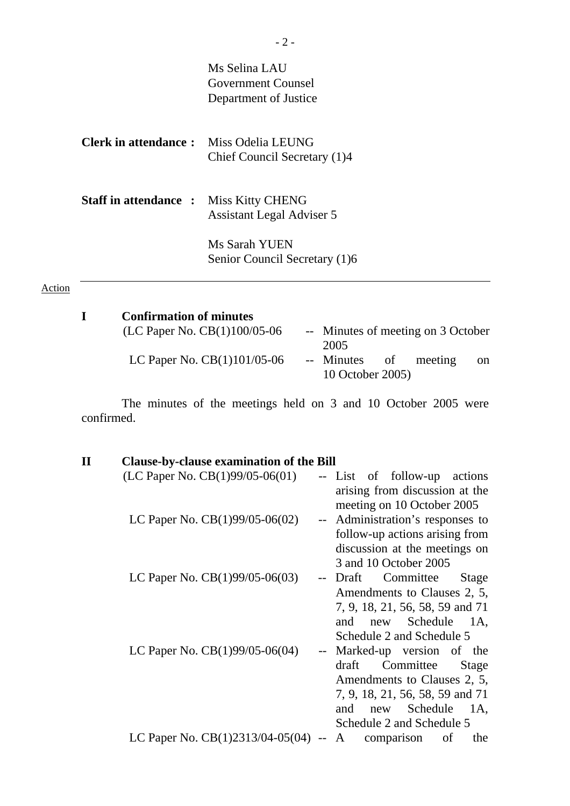|                                               | Ms Selina LAU<br>Government Counsel<br>Department of Justice |
|-----------------------------------------------|--------------------------------------------------------------|
| <b>Clerk in attendance:</b> Miss Odelia LEUNG | Chief Council Secretary (1)4                                 |
| <b>Staff in attendance :</b> Miss Kitty CHENG | Assistant Legal Adviser 5                                    |
|                                               | Ms Sarah YUEN<br>Senior Council Secretary (1)6               |

#### Action

| <b>Confirmation of minutes</b> |                                    |
|--------------------------------|------------------------------------|
| (LC Paper No. $CB(1)100/05-06$ | -- Minutes of meeting on 3 October |
|                                | 2005                               |
| LC Paper No. $CB(1)101/05-06$  | -- Minutes of meeting<br>on.       |
|                                | 10 October 2005)                   |
|                                |                                    |

 The minutes of the meetings held on 3 and 10 October 2005 were confirmed.

| $\mathbf H$ | <b>Clause-by-clause examination of the Bill</b> |                             |                                  |
|-------------|-------------------------------------------------|-----------------------------|----------------------------------|
|             | (LC Paper No. $CB(1)99/05-06(01)$               |                             | -- List of follow-up actions     |
|             |                                                 |                             | arising from discussion at the   |
|             |                                                 |                             | meeting on 10 October 2005       |
|             | LC Paper No. $CB(1)99/05-06(02)$                |                             | -- Administration's responses to |
|             |                                                 |                             | follow-up actions arising from   |
|             |                                                 |                             | discussion at the meetings on    |
|             |                                                 |                             | 3 and 10 October 2005            |
|             | LC Paper No. $CB(1)99/05-06(03)$                |                             | -- Draft<br>Committee<br>Stage   |
|             |                                                 |                             | Amendments to Clauses 2, 5,      |
|             |                                                 |                             | 7, 9, 18, 21, 56, 58, 59 and 71  |
|             |                                                 |                             | new Schedule 1A,<br>and          |
|             |                                                 |                             | Schedule 2 and Schedule 5        |
|             | LC Paper No. $CB(1)99/05-06(04)$                | $\rightarrow$ $\rightarrow$ | Marked-up version of the         |
|             |                                                 |                             | draft<br>Committee<br>Stage      |
|             |                                                 |                             | Amendments to Clauses 2, 5,      |
|             |                                                 |                             | 7, 9, 18, 21, 56, 58, 59 and 71  |
|             |                                                 |                             | Schedule 1A,<br>and<br>new       |
|             |                                                 |                             | Schedule 2 and Schedule 5        |
|             | LC Paper No. $CB(1)2313/04-05(04)$ --           |                             | comparison<br>A<br>of<br>the     |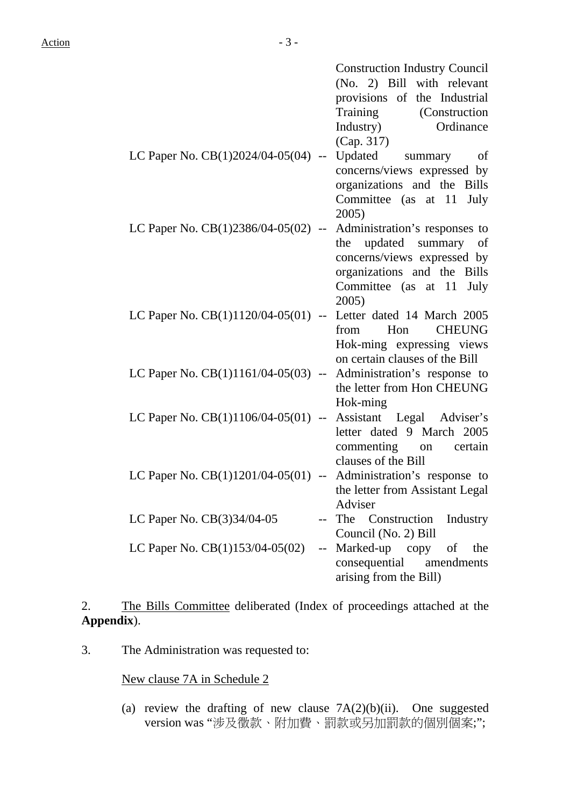|                                                                  | <b>Construction Industry Council</b><br>(No. 2) Bill with relevant<br>provisions of the Industrial<br>Training (Construction<br>Industry)<br>Ordinance     |
|------------------------------------------------------------------|------------------------------------------------------------------------------------------------------------------------------------------------------------|
| LC Paper No. $CB(1)2024/04-05(04)$ --                            | (Cap. 317)<br>Updated summary<br>- of<br>concerns/views expressed by<br>organizations and the Bills<br>Committee (as at 11<br>July<br>2005)                |
| LC Paper No. $CB(1)2386/04-05(02)$ --                            | Administration's responses to<br>the updated summary of<br>concerns/views expressed by<br>organizations and the Bills<br>Committee (as at 11 July<br>2005) |
| LC Paper No. CB(1)1120/04-05(01) -- Letter dated 14 March 2005   | Hon<br><b>CHEUNG</b><br>from<br>Hok-ming expressing views<br>on certain clauses of the Bill                                                                |
| LC Paper No. $CB(1)1161/04-05(03)$ --                            | Administration's response to<br>the letter from Hon CHEUNG<br>Hok-ming                                                                                     |
| LC Paper No. CB(1)1106/04-05(01) --                              | Assistant Legal Adviser's<br>letter dated 9 March 2005<br>commenting on certain<br>clauses of the Bill                                                     |
| LC Paper No. CB(1)1201/04-05(01) -- Administration's response to | the letter from Assistant Legal<br>Adviser                                                                                                                 |
| LC Paper No. $CB(3)34/04-05$                                     | The Construction<br>Industry                                                                                                                               |
| LC Paper No. CB(1)153/04-05(02)<br>$\overline{\phantom{a}}$      | Council (No. 2) Bill<br>Marked-up copy<br>the<br>of<br>consequential<br>amendments<br>arising from the Bill)                                               |

2. The Bills Committee deliberated (Index of proceedings attached at the **Appendix**).

3. The Administration was requested to:

# New clause 7A in Schedule 2

(a) review the drafting of new clause  $7A(2)(b)(ii)$ . One suggested version was "涉及徵款、附加費、罰款或另加罰款的個別個案;";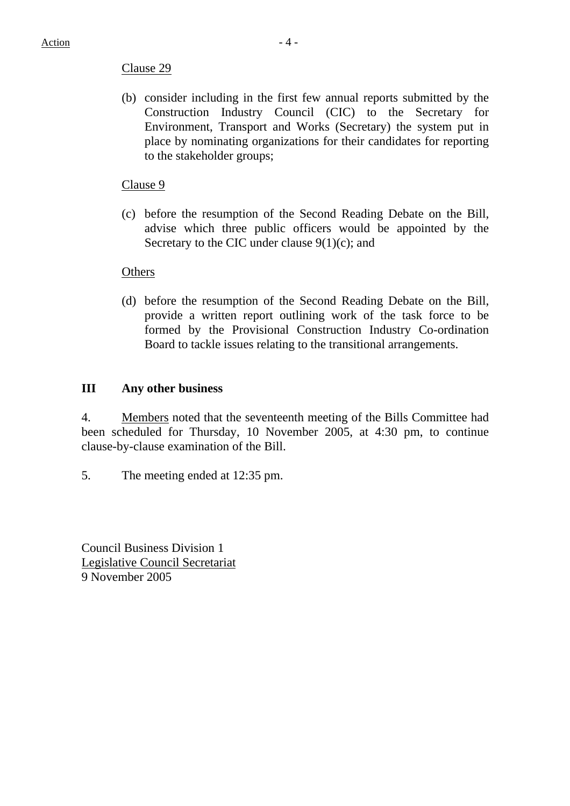#### Clause 29

(b) consider including in the first few annual reports submitted by the Construction Industry Council (CIC) to the Secretary for Environment, Transport and Works (Secretary) the system put in place by nominating organizations for their candidates for reporting to the stakeholder groups;

# Clause 9

(c) before the resumption of the Second Reading Debate on the Bill, advise which three public officers would be appointed by the Secretary to the CIC under clause 9(1)(c); and

# **Others**

(d) before the resumption of the Second Reading Debate on the Bill, provide a written report outlining work of the task force to be formed by the Provisional Construction Industry Co-ordination Board to tackle issues relating to the transitional arrangements.

# **III Any other business**

4. Members noted that the seventeenth meeting of the Bills Committee had been scheduled for Thursday, 10 November 2005, at 4:30 pm, to continue clause-by-clause examination of the Bill.

5. The meeting ended at 12:35 pm.

Council Business Division 1 Legislative Council Secretariat 9 November 2005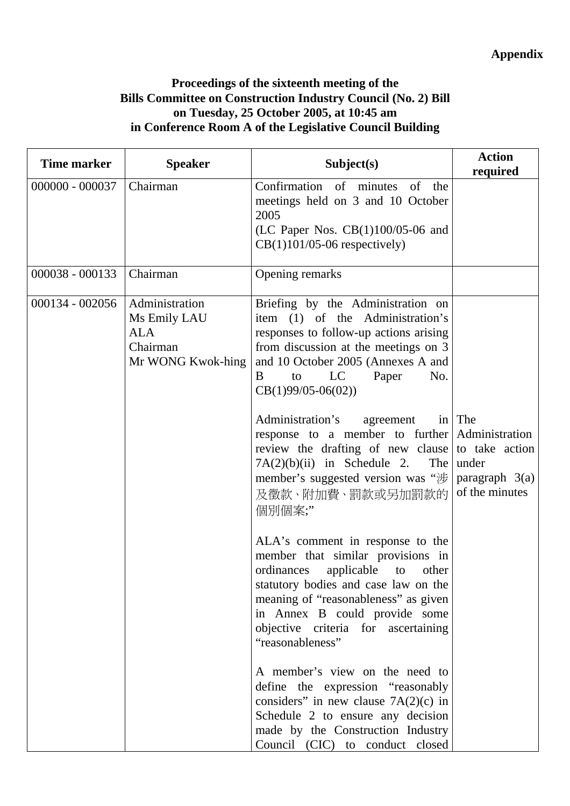# **Proceedings of the sixteenth meeting of the Bills Committee on Construction Industry Council (No. 2) Bill on Tuesday, 25 October 2005, at 10:45 am in Conference Room A of the Legislative Council Building**

| <b>Time marker</b> | <b>Speaker</b>                                                                | Subject(s)                                                                                                                                                                                                                                                                                                                                                                                                                                                                                                                                                                                                                                                                                                                                                                                    | <b>Action</b><br>required                                                              |
|--------------------|-------------------------------------------------------------------------------|-----------------------------------------------------------------------------------------------------------------------------------------------------------------------------------------------------------------------------------------------------------------------------------------------------------------------------------------------------------------------------------------------------------------------------------------------------------------------------------------------------------------------------------------------------------------------------------------------------------------------------------------------------------------------------------------------------------------------------------------------------------------------------------------------|----------------------------------------------------------------------------------------|
| 000000 - 000037    | Chairman                                                                      | Confirmation of minutes<br>of<br>the<br>meetings held on 3 and 10 October<br>2005<br>(LC Paper Nos. $CB(1)100/05-06$ and<br>$CB(1)101/05-06$ respectively)                                                                                                                                                                                                                                                                                                                                                                                                                                                                                                                                                                                                                                    |                                                                                        |
| 000038 - 000133    | Chairman                                                                      | Opening remarks                                                                                                                                                                                                                                                                                                                                                                                                                                                                                                                                                                                                                                                                                                                                                                               |                                                                                        |
| 000134 - 002056    | Administration<br>Ms Emily LAU<br><b>ALA</b><br>Chairman<br>Mr WONG Kwok-hing | Briefing by the Administration on<br>item (1) of the Administration's<br>responses to follow-up actions arising<br>from discussion at the meetings on 3<br>and 10 October 2005 (Annexes A and<br>LC<br>Paper<br>No.<br>B<br>to<br>$CB(1)99/05-06(02))$<br>Administration's<br>agreement<br>in <sub>1</sub><br>response to a member to further<br>review the drafting of new clause<br>$7A(2)(b)(ii)$ in Schedule 2.<br>The<br>member's suggested version was "涉<br>及徵款、附加費、罰款或另加罰款的<br>個別個案;"<br>ALA's comment in response to the<br>member that similar provisions in<br>ordinances<br>applicable<br>other<br>to<br>statutory bodies and case law on the<br>meaning of "reasonableness" as given<br>in Annex B could provide some<br>objective criteria for ascertaining<br>"reasonableness" | The<br>Administration<br>to take action<br>under<br>paragraph $3(a)$<br>of the minutes |
|                    |                                                                               | A member's view on the need to<br>define the expression "reasonably<br>considers" in new clause $7A(2)(c)$ in<br>Schedule 2 to ensure any decision<br>made by the Construction Industry<br>Council (CIC) to conduct closed                                                                                                                                                                                                                                                                                                                                                                                                                                                                                                                                                                    |                                                                                        |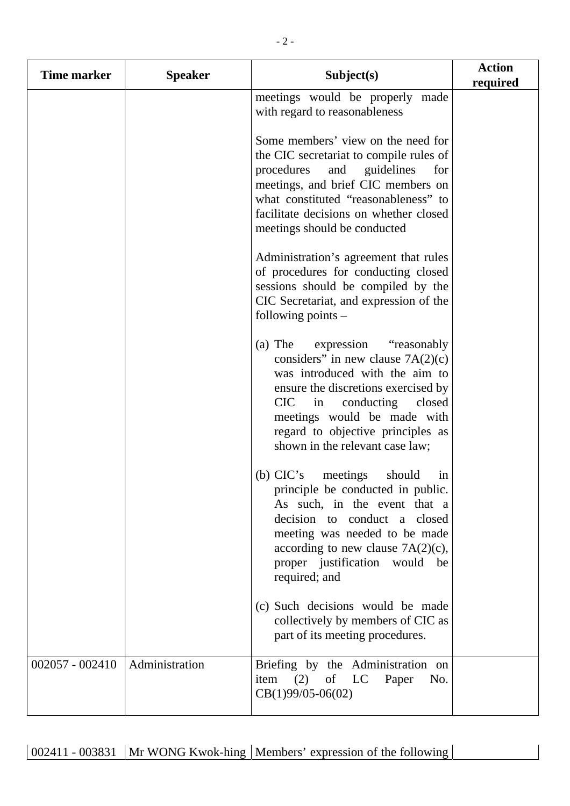| <b>Time marker</b> | <b>Speaker</b> | Subject(s)                                                                                                                                                                                                                                                                                                 | <b>Action</b><br>required |
|--------------------|----------------|------------------------------------------------------------------------------------------------------------------------------------------------------------------------------------------------------------------------------------------------------------------------------------------------------------|---------------------------|
|                    |                | meetings would be properly made<br>with regard to reasonableness                                                                                                                                                                                                                                           |                           |
|                    |                | Some members' view on the need for<br>the CIC secretariat to compile rules of<br>procedures<br>and<br>guidelines<br>for<br>meetings, and brief CIC members on<br>what constituted "reasonableness" to<br>facilitate decisions on whether closed<br>meetings should be conducted                            |                           |
|                    |                | Administration's agreement that rules<br>of procedures for conducting closed<br>sessions should be compiled by the<br>CIC Secretariat, and expression of the<br>following points $-$                                                                                                                       |                           |
|                    |                | "reasonably"<br>expression<br>$(a)$ The<br>considers" in new clause $7A(2)(c)$<br>was introduced with the aim to<br>ensure the discretions exercised by<br><b>CIC</b><br>conducting<br>closed<br>in<br>meetings would be made with<br>regard to objective principles as<br>shown in the relevant case law; |                           |
|                    |                | (b) CIC's meetings<br>should<br>1n<br>principle be conducted in public.<br>As such, in the event that a<br>decision to conduct a closed<br>meeting was needed to be made<br>according to new clause $7A(2)(c)$ ,<br>proper justification would be<br>required; and                                         |                           |
|                    |                | (c) Such decisions would be made<br>collectively by members of CIC as<br>part of its meeting procedures.                                                                                                                                                                                                   |                           |
| 002057 - 002410    | Administration | Briefing by the Administration on<br>item $(2)$ of LC<br>Paper<br>No.<br>$CB(1)99/05-06(02)$                                                                                                                                                                                                               |                           |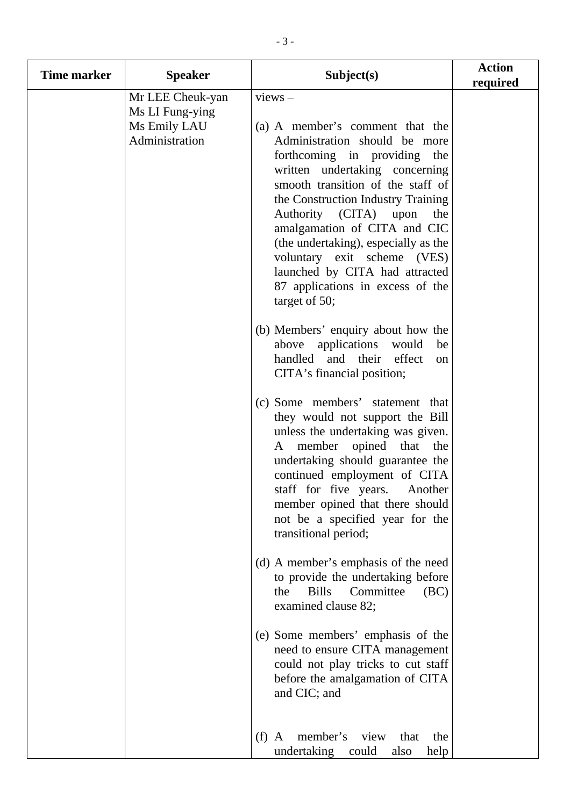| <b>Time marker</b> | <b>Speaker</b>                                                        | Subject(s)                                                                                                                                                                                                                                                                                                                                                                                                                                                  | <b>Action</b><br>required |
|--------------------|-----------------------------------------------------------------------|-------------------------------------------------------------------------------------------------------------------------------------------------------------------------------------------------------------------------------------------------------------------------------------------------------------------------------------------------------------------------------------------------------------------------------------------------------------|---------------------------|
|                    | Mr LEE Cheuk-yan<br>Ms LI Fung-ying<br>Ms Emily LAU<br>Administration | $views -$<br>(a) A member's comment that the<br>Administration should be more<br>forthcoming in providing the<br>written undertaking concerning<br>smooth transition of the staff of<br>the Construction Industry Training<br>Authority (CITA) upon<br>the<br>amalgamation of CITA and CIC<br>(the undertaking), especially as the<br>voluntary exit scheme (VES)<br>launched by CITA had attracted<br>87 applications in excess of the<br>target of $50$ ; |                           |
|                    |                                                                       | (b) Members' enquiry about how the<br>above applications<br>would<br>be<br>handled<br>and their effect<br>on<br>CITA's financial position;                                                                                                                                                                                                                                                                                                                  |                           |
|                    |                                                                       | (c) Some members' statement that<br>they would not support the Bill<br>unless the undertaking was given.<br>member opined that<br>the<br>A<br>undertaking should guarantee the<br>continued employment of CITA<br>staff for five years. Another<br>member opined that there should<br>not be a specified year for the<br>transitional period;                                                                                                               |                           |
|                    |                                                                       | (d) A member's emphasis of the need<br>to provide the undertaking before<br><b>Bills</b><br>Committee<br>the<br>(BC)<br>examined clause 82;                                                                                                                                                                                                                                                                                                                 |                           |
|                    |                                                                       | (e) Some members' emphasis of the<br>need to ensure CITA management<br>could not play tricks to cut staff<br>before the amalgamation of CITA<br>and CIC; and                                                                                                                                                                                                                                                                                                |                           |
|                    |                                                                       | member's<br>(f)<br>view<br>that<br>the<br>A<br>undertaking<br>could<br>help<br>also                                                                                                                                                                                                                                                                                                                                                                         |                           |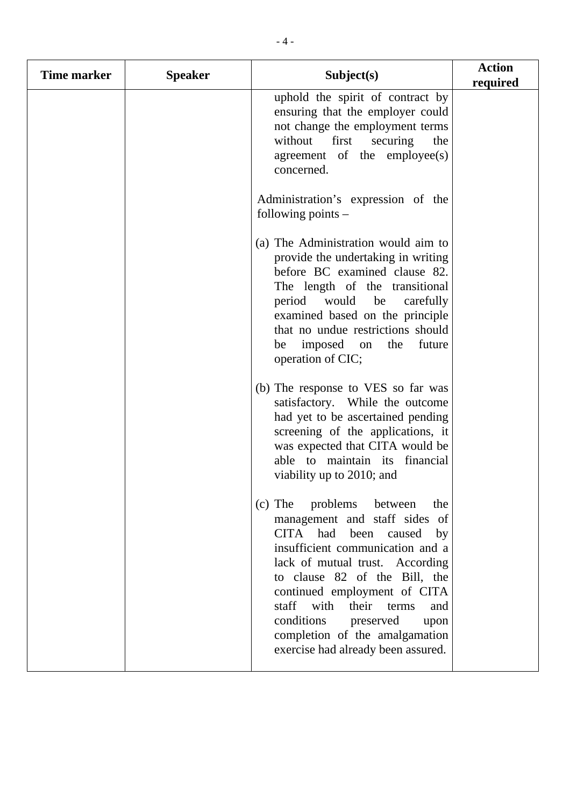| Time marker | <b>Speaker</b> | Subject(s)                                                                                                                                                                                                                                                                                                                                                                                       | <b>Action</b><br>required |
|-------------|----------------|--------------------------------------------------------------------------------------------------------------------------------------------------------------------------------------------------------------------------------------------------------------------------------------------------------------------------------------------------------------------------------------------------|---------------------------|
|             |                | uphold the spirit of contract by<br>ensuring that the employer could<br>not change the employment terms<br>without<br>first<br>securing<br>the<br>agreement of the employee(s)<br>concerned.                                                                                                                                                                                                     |                           |
|             |                | Administration's expression of the<br>following points $-$                                                                                                                                                                                                                                                                                                                                       |                           |
|             |                | (a) The Administration would aim to<br>provide the undertaking in writing<br>before BC examined clause 82.<br>The length of the transitional<br>period would<br>be<br>carefully<br>examined based on the principle<br>that no undue restrictions should<br>imposed<br>future<br>the<br>be<br>on<br>operation of CIC;                                                                             |                           |
|             |                | (b) The response to VES so far was<br>satisfactory. While the outcome<br>had yet to be ascertained pending<br>screening of the applications, it<br>was expected that CITA would be<br>able to maintain its financial<br>viability up to 2010; and                                                                                                                                                |                           |
|             |                | problems<br>$(c)$ The<br>between<br>the<br>management and staff sides of<br>CITA had been caused<br>by<br>insufficient communication and a<br>lack of mutual trust. According<br>to clause 82 of the Bill, the<br>continued employment of CITA<br>staff with<br>their<br>terms<br>and<br>conditions<br>preserved<br>upon<br>completion of the amalgamation<br>exercise had already been assured. |                           |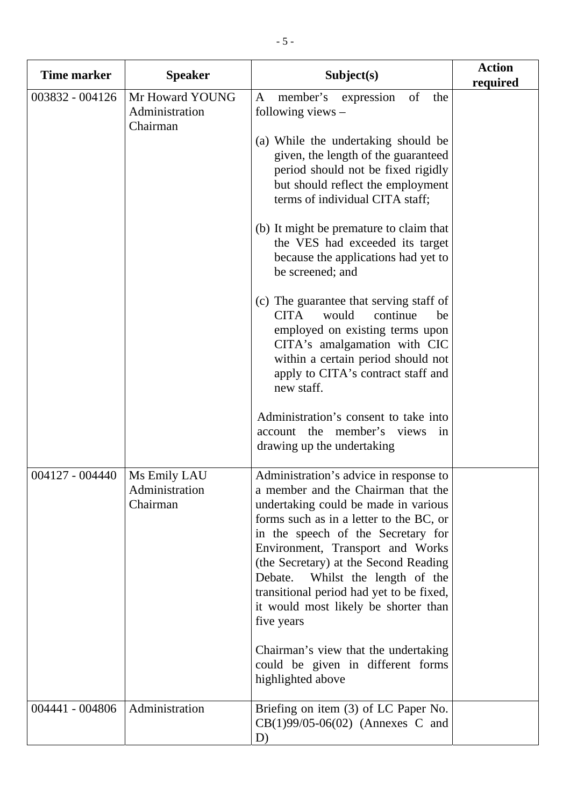| <b>Time marker</b> | <b>Speaker</b>                                | Subject(s)                                                                                                                                                                                                                                                                                                                                                                                                                                                                                                                                                                                                                                                                                                                    | <b>Action</b><br>required |
|--------------------|-----------------------------------------------|-------------------------------------------------------------------------------------------------------------------------------------------------------------------------------------------------------------------------------------------------------------------------------------------------------------------------------------------------------------------------------------------------------------------------------------------------------------------------------------------------------------------------------------------------------------------------------------------------------------------------------------------------------------------------------------------------------------------------------|---------------------------|
| 003832 - 004126    | Mr Howard YOUNG<br>Administration<br>Chairman | member's expression<br>of<br>A<br>the<br>following views $-$<br>(a) While the undertaking should be<br>given, the length of the guaranteed<br>period should not be fixed rigidly<br>but should reflect the employment<br>terms of individual CITA staff;<br>(b) It might be premature to claim that<br>the VES had exceeded its target<br>because the applications had yet to<br>be screened; and<br>(c) The guarantee that serving staff of<br><b>CITA</b><br>would<br>continue<br>be<br>employed on existing terms upon<br>CITA's amalgamation with CIC<br>within a certain period should not<br>apply to CITA's contract staff and<br>new staff.<br>Administration's consent to take into<br>account the member's views in |                           |
| 004127 - 004440    | Ms Emily LAU<br>Administration<br>Chairman    | drawing up the undertaking<br>Administration's advice in response to<br>a member and the Chairman that the<br>undertaking could be made in various<br>forms such as in a letter to the BC, or<br>in the speech of the Secretary for<br>Environment, Transport and Works<br>(the Secretary) at the Second Reading<br>Debate.<br>Whilst the length of the<br>transitional period had yet to be fixed,<br>it would most likely be shorter than<br>five years<br>Chairman's view that the undertaking<br>could be given in different forms<br>highlighted above                                                                                                                                                                   |                           |
| 004441 - 004806    | Administration                                | Briefing on item (3) of LC Paper No.<br>$CB(1)99/05-06(02)$ (Annexes C and<br>D)                                                                                                                                                                                                                                                                                                                                                                                                                                                                                                                                                                                                                                              |                           |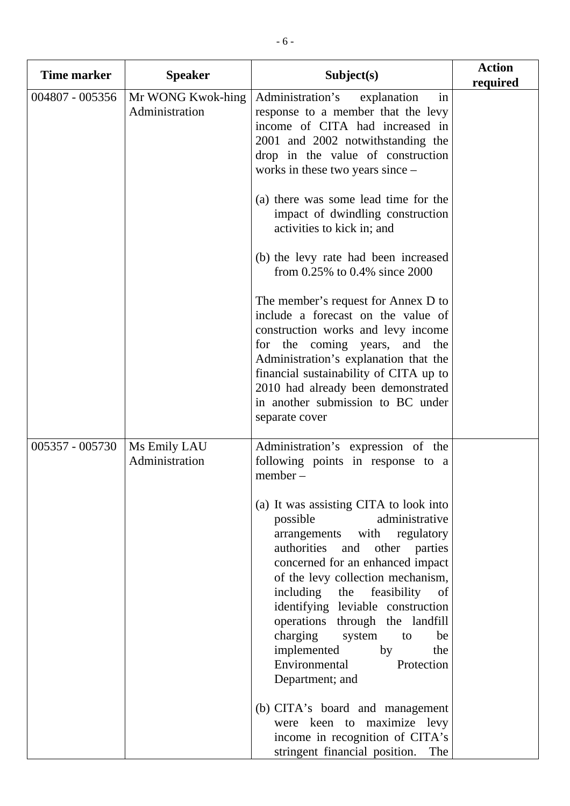| <b>Time marker</b> | <b>Speaker</b>                      | Subject(s)                                                                                                                                                                                                                                                                                                                                                                                                                                      | <b>Action</b><br>required |
|--------------------|-------------------------------------|-------------------------------------------------------------------------------------------------------------------------------------------------------------------------------------------------------------------------------------------------------------------------------------------------------------------------------------------------------------------------------------------------------------------------------------------------|---------------------------|
| 004807 - 005356    | Mr WONG Kwok-hing<br>Administration | Administration's<br>explanation<br>1n<br>response to a member that the levy<br>income of CITA had increased in<br>2001 and 2002 notwithstanding the<br>drop in the value of construction<br>works in these two years since –                                                                                                                                                                                                                    |                           |
|                    |                                     | (a) there was some lead time for the<br>impact of dwindling construction<br>activities to kick in; and                                                                                                                                                                                                                                                                                                                                          |                           |
|                    |                                     | (b) the levy rate had been increased<br>from $0.25\%$ to $0.4\%$ since 2000                                                                                                                                                                                                                                                                                                                                                                     |                           |
|                    |                                     | The member's request for Annex D to<br>include a forecast on the value of<br>construction works and levy income<br>for the coming years, and the<br>Administration's explanation that the<br>financial sustainability of CITA up to<br>2010 had already been demonstrated<br>in another submission to BC under<br>separate cover                                                                                                                |                           |
| 005357 - 005730    | Ms Emily LAU<br>Administration      | Administration's expression of the<br>following points in response to a<br>$member -$                                                                                                                                                                                                                                                                                                                                                           |                           |
|                    |                                     | (a) It was assisting CITA to look into<br>administrative<br>possible<br>arrangements with regulatory<br>authorities and<br>other parties<br>concerned for an enhanced impact<br>of the levy collection mechanism,<br>including<br>the feasibility<br>of<br>identifying leviable construction<br>operations through the landfill<br>charging<br>system<br>be<br>to<br>implemented<br>by<br>the<br>Environmental<br>Protection<br>Department; and |                           |
|                    |                                     | (b) CITA's board and management<br>were keen to maximize levy<br>income in recognition of CITA's<br>stringent financial position. The                                                                                                                                                                                                                                                                                                           |                           |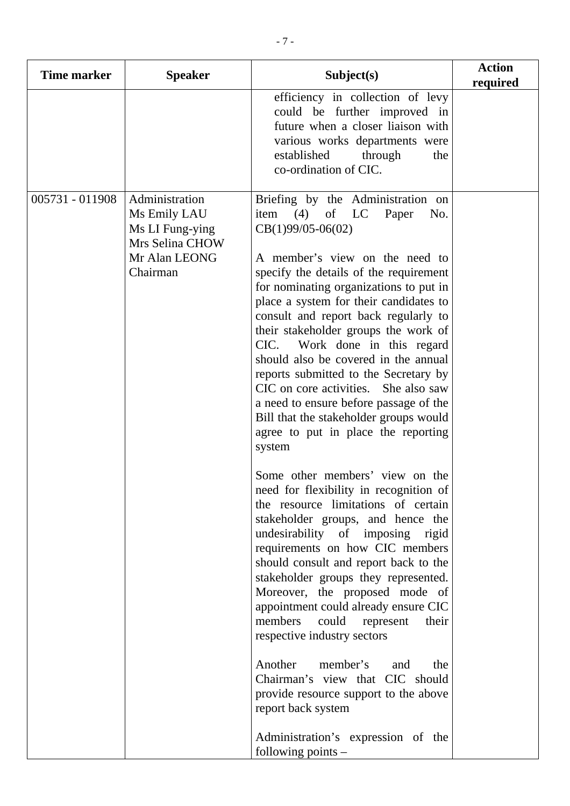| Time marker     | <b>Speaker</b>                                                                                    | Subject(s)                                                                                                                                                                                                                                                                                                                                                                                                                                                                                                                                                                                                                                                                                                                                                                                                                                                                                                                                                                                                                                                                                                                                                                                                                                                                                                              | <b>Action</b><br>required |
|-----------------|---------------------------------------------------------------------------------------------------|-------------------------------------------------------------------------------------------------------------------------------------------------------------------------------------------------------------------------------------------------------------------------------------------------------------------------------------------------------------------------------------------------------------------------------------------------------------------------------------------------------------------------------------------------------------------------------------------------------------------------------------------------------------------------------------------------------------------------------------------------------------------------------------------------------------------------------------------------------------------------------------------------------------------------------------------------------------------------------------------------------------------------------------------------------------------------------------------------------------------------------------------------------------------------------------------------------------------------------------------------------------------------------------------------------------------------|---------------------------|
|                 |                                                                                                   | efficiency in collection of levy<br>could be further improved in<br>future when a closer liaison with<br>various works departments were<br>established<br>through<br>the<br>co-ordination of CIC.                                                                                                                                                                                                                                                                                                                                                                                                                                                                                                                                                                                                                                                                                                                                                                                                                                                                                                                                                                                                                                                                                                                       |                           |
| 005731 - 011908 | Administration<br>Ms Emily LAU<br>Ms LI Fung-ying<br>Mrs Selina CHOW<br>Mr Alan LEONG<br>Chairman | Briefing by the Administration on<br>item $(4)$ of LC<br>Paper<br>No.<br>$CB(1)99/05-06(02)$<br>A member's view on the need to<br>specify the details of the requirement<br>for nominating organizations to put in<br>place a system for their candidates to<br>consult and report back regularly to<br>their stakeholder groups the work of<br>CIC. Work done in this regard<br>should also be covered in the annual<br>reports submitted to the Secretary by<br>CIC on core activities. She also saw<br>a need to ensure before passage of the<br>Bill that the stakeholder groups would<br>agree to put in place the reporting<br>system<br>Some other members' view on the<br>need for flexibility in recognition of<br>the resource limitations of certain<br>stakeholder groups, and hence the<br>undesirability of imposing<br>rigid<br>requirements on how CIC members<br>should consult and report back to the<br>stakeholder groups they represented.<br>Moreover, the proposed mode of<br>appointment could already ensure CIC<br>members<br>could<br>represent<br>their<br>respective industry sectors<br>Another<br>member's<br>the<br>and<br>Chairman's view that CIC should<br>provide resource support to the above<br>report back system<br>Administration's expression of the<br>following points $-$ |                           |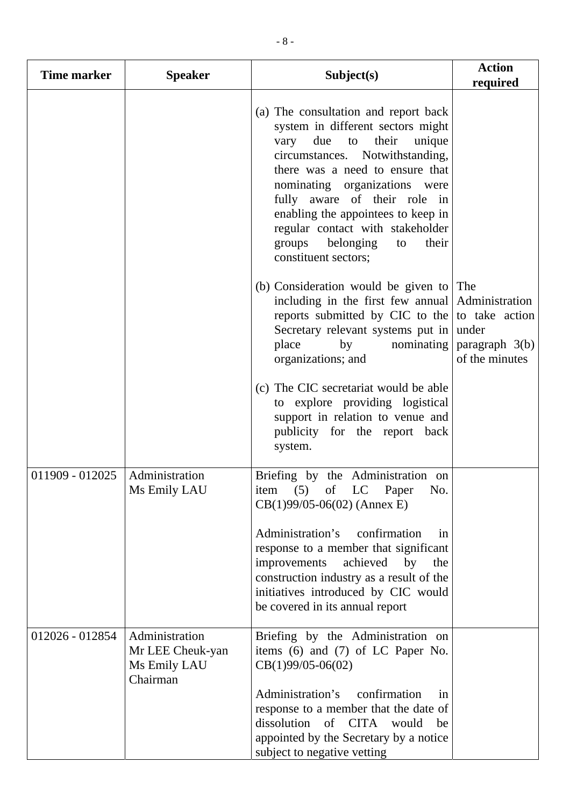| <b>Time marker</b> | <b>Speaker</b>                                     | Subject(s)                                                                                                                                                                                                                                                                                                                                                                                                                                                                                                                                                                                                                                                                                                                                                          | <b>Action</b><br>required        |
|--------------------|----------------------------------------------------|---------------------------------------------------------------------------------------------------------------------------------------------------------------------------------------------------------------------------------------------------------------------------------------------------------------------------------------------------------------------------------------------------------------------------------------------------------------------------------------------------------------------------------------------------------------------------------------------------------------------------------------------------------------------------------------------------------------------------------------------------------------------|----------------------------------|
|                    |                                                    | (a) The consultation and report back<br>system in different sectors might<br>their<br>due<br>unique<br>vary<br>to<br>circumstances. Notwithstanding,<br>there was a need to ensure that<br>nominating organizations were<br>fully aware of their role in<br>enabling the appointees to keep in<br>regular contact with stakeholder<br>belonging<br>groups<br>their<br>to<br>constituent sectors;<br>(b) Consideration would be given to $ $ The<br>including in the first few annual Administration<br>reports submitted by CIC to the to take action<br>Secretary relevant systems put in under<br>place<br>nominating<br>by<br>organizations; and<br>(c) The CIC secretariat would be able<br>to explore providing logistical<br>support in relation to venue and | paragraph 3(b)<br>of the minutes |
|                    |                                                    | publicity for the report back<br>system.                                                                                                                                                                                                                                                                                                                                                                                                                                                                                                                                                                                                                                                                                                                            |                                  |
| 011909 - 012025    | Administration<br>Ms Emily LAU                     | Briefing by the Administration on<br>item (5) of LC Paper<br>No.<br>$CB(1)99/05-06(02)$ (Annex E)                                                                                                                                                                                                                                                                                                                                                                                                                                                                                                                                                                                                                                                                   |                                  |
|                    |                                                    | Administration's<br>confirmation<br>in<br>response to a member that significant<br>improvements<br>achieved<br>by<br>the<br>construction industry as a result of the<br>initiatives introduced by CIC would<br>be covered in its annual report                                                                                                                                                                                                                                                                                                                                                                                                                                                                                                                      |                                  |
| 012026 - 012854    | Administration<br>Mr LEE Cheuk-yan<br>Ms Emily LAU | Briefing by the Administration on<br>items (6) and (7) of LC Paper No.<br>$CB(1)99/05-06(02)$                                                                                                                                                                                                                                                                                                                                                                                                                                                                                                                                                                                                                                                                       |                                  |
|                    | Chairman                                           | Administration's<br>confirmation<br>in<br>response to a member that the date of<br>dissolution of CITA would<br>be<br>appointed by the Secretary by a notice<br>subject to negative vetting                                                                                                                                                                                                                                                                                                                                                                                                                                                                                                                                                                         |                                  |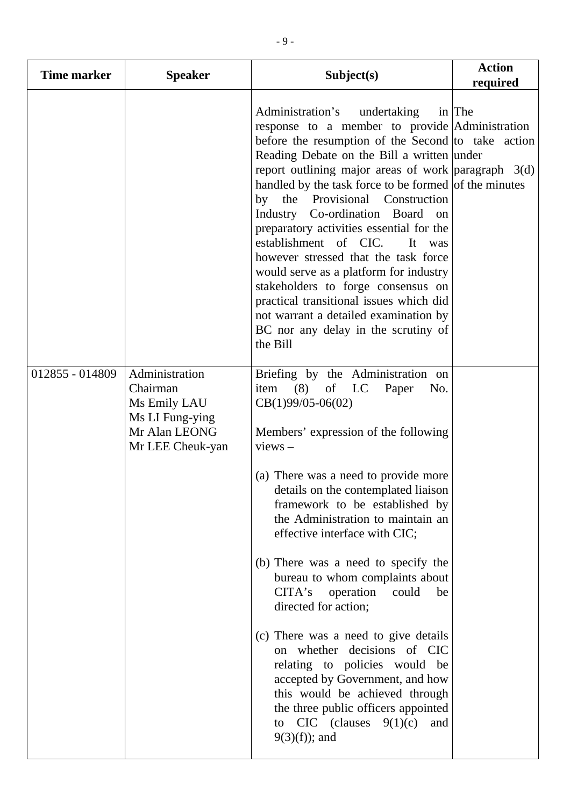| Time marker     | <b>Speaker</b>                                                                                     | Subject(s)                                                                                                                                                                                                                                                                                                                                                                                                                                                                                                                                                                                                                                                                                                                                                  | <b>Action</b><br>required |
|-----------------|----------------------------------------------------------------------------------------------------|-------------------------------------------------------------------------------------------------------------------------------------------------------------------------------------------------------------------------------------------------------------------------------------------------------------------------------------------------------------------------------------------------------------------------------------------------------------------------------------------------------------------------------------------------------------------------------------------------------------------------------------------------------------------------------------------------------------------------------------------------------------|---------------------------|
|                 |                                                                                                    | Administration's undertaking in The<br>response to a member to provide Administration<br>before the resumption of the Second to take action<br>Reading Debate on the Bill a written under<br>report outlining major areas of work $\alpha$ areas at $3(d)$<br>handled by the task force to be formed of the minutes<br>by the Provisional Construction<br>Industry Co-ordination Board on<br>preparatory activities essential for the<br>establishment of CIC.<br>It<br>was<br>however stressed that the task force<br>would serve as a platform for industry<br>stakeholders to forge consensus on<br>practical transitional issues which did<br>not warrant a detailed examination by<br>BC nor any delay in the scrutiny of<br>the Bill                  |                           |
| 012855 - 014809 | Administration<br>Chairman<br>Ms Emily LAU<br>Ms LI Fung-ying<br>Mr Alan LEONG<br>Mr LEE Cheuk-yan | Briefing by the Administration on<br>item $(8)$<br>of LC<br>Paper<br>No.<br>$CB(1)99/05-06(02)$<br>Members' expression of the following<br>$views -$<br>(a) There was a need to provide more<br>details on the contemplated liaison<br>framework to be established by<br>the Administration to maintain an<br>effective interface with CIC;<br>(b) There was a need to specify the<br>bureau to whom complaints about<br>operation could<br>CITA's<br>be<br>directed for action;<br>(c) There was a need to give details<br>on whether decisions of CIC<br>relating to policies would be<br>accepted by Government, and how<br>this would be achieved through<br>the three public officers appointed<br>to CIC (clauses $9(1)(c)$<br>and<br>$9(3)(f)$ ; and |                           |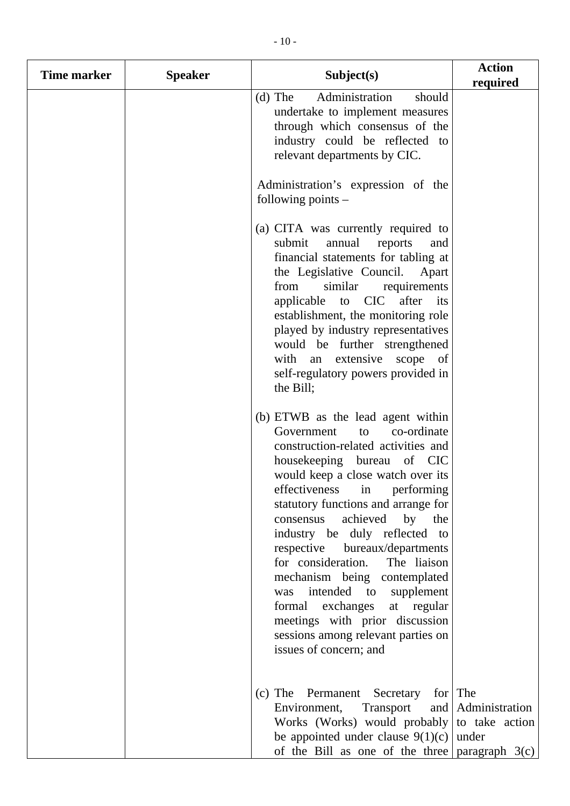| Time marker | <b>Speaker</b> | Subject(s)                                                                                                                                                                                                                                                                                                                                                                                                                                                                                                                                                                                        | <b>Action</b><br>required |
|-------------|----------------|---------------------------------------------------------------------------------------------------------------------------------------------------------------------------------------------------------------------------------------------------------------------------------------------------------------------------------------------------------------------------------------------------------------------------------------------------------------------------------------------------------------------------------------------------------------------------------------------------|---------------------------|
|             |                | Administration<br>$(d)$ The<br>should<br>undertake to implement measures<br>through which consensus of the<br>industry could be reflected to<br>relevant departments by CIC.                                                                                                                                                                                                                                                                                                                                                                                                                      |                           |
|             |                | Administration's expression of the<br>following points $-$                                                                                                                                                                                                                                                                                                                                                                                                                                                                                                                                        |                           |
|             |                | (a) CITA was currently required to<br>submit<br>annual<br>reports<br>and<br>financial statements for tabling at<br>the Legislative Council. Apart<br>from<br>similar<br>requirements<br>applicable to CIC after<br>its<br>establishment, the monitoring role<br>played by industry representatives<br>would be further strengthened<br>with<br>an extensive<br>scope<br>- of<br>self-regulatory powers provided in<br>the Bill;                                                                                                                                                                   |                           |
|             |                | (b) ETWB as the lead agent within<br>co-ordinate<br>Government<br>to<br>construction-related activities and<br>housekeeping bureau of CIC<br>would keep a close watch over its<br>effectiveness in performing<br>statutory functions and arrange for<br>achieved<br>by the<br>consensus<br>industry be duly reflected to<br>respective bureaux/departments<br>for consideration. The liaison<br>mechanism being contemplated<br>intended to supplement<br>was<br>formal exchanges<br>at regular<br>meetings with prior discussion<br>sessions among relevant parties on<br>issues of concern; and |                           |
|             |                | (c) The Permanent Secretary for The<br>Environment,<br>Transport<br>Works (Works) would probably to take action<br>be appointed under clause $9(1)(c)$ under<br>of the Bill as one of the three paragraph $3(c)$                                                                                                                                                                                                                                                                                                                                                                                  | and   Administration      |